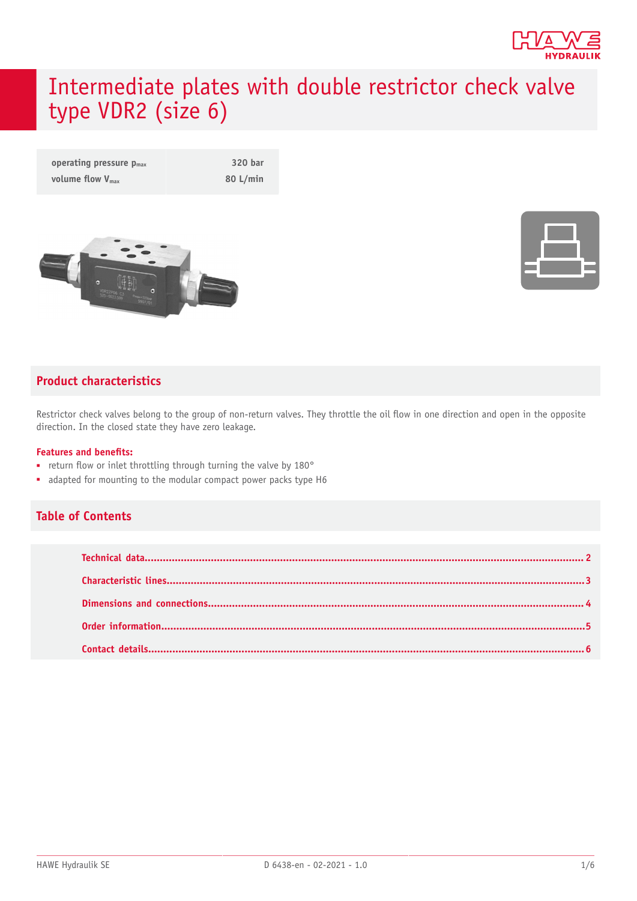

# Intermediate plates with double restrictor check valve type VDR2 (size 6)

| operating pressure $p_{max}$ | 320 bar  |
|------------------------------|----------|
| volume flow $V_{\text{max}}$ | 80 L/min |



|   | <b>Contract Contract Contract Contract Contract Contract Contract Contract Contract Contract Contract Contract Co</b> |  |
|---|-----------------------------------------------------------------------------------------------------------------------|--|
|   |                                                                                                                       |  |
| _ |                                                                                                                       |  |
|   |                                                                                                                       |  |
|   |                                                                                                                       |  |

#### **Product characteristics**

Restrictor check valves belong to the group of non-return valves. They throttle the oil flow in one direction and open in the opposite direction. In the closed state they have zero leakage.

#### **Features and benets:**

- return flow or inlet throttling through turning the valve by 180°
- adapted for mounting to the modular compact power packs type H6

#### **Table of Contents**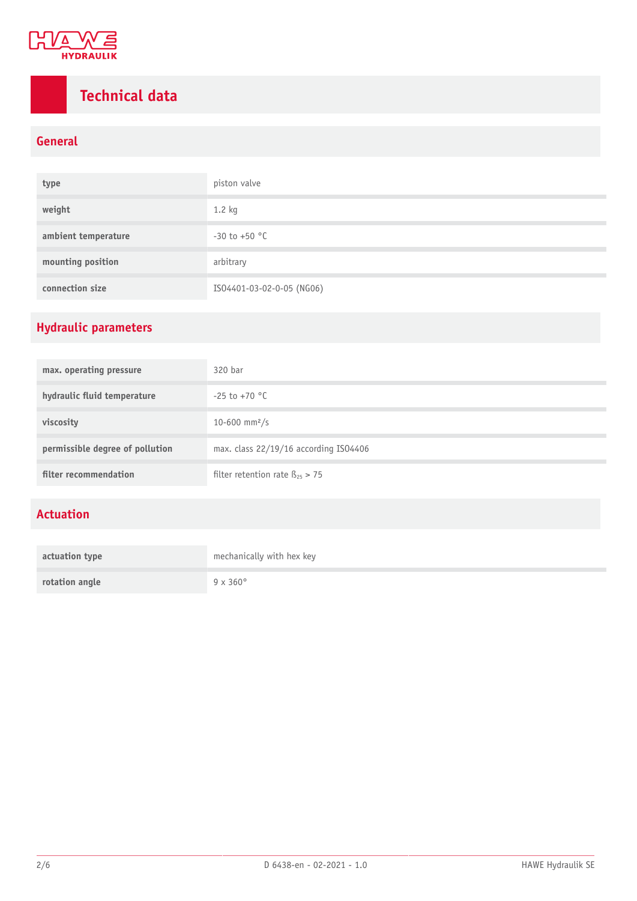

# <span id="page-1-0"></span>**Technical data**

### **General**

| type                | piston valve              |
|---------------------|---------------------------|
| weight              | $1.2$ kg                  |
| ambient temperature | $-30$ to $+50$ °C         |
| mounting position   | arbitrary                 |
| connection size     | ISO4401-03-02-0-05 (NG06) |

### **Hydraulic parameters**

| max. operating pressure         | 320 bar                                 |
|---------------------------------|-----------------------------------------|
| hydraulic fluid temperature     | $-25$ to $+70$ °C                       |
| viscosity                       | 10-600 mm <sup>2</sup> /s               |
| permissible degree of pollution | max. class 22/19/16 according IS04406   |
| filter recommendation           | filter retention rate $\beta_{25} > 75$ |

### **Actuation**

| actuation type | mechanically with hex key |
|----------------|---------------------------|
| rotation angle | $9 \times 360^\circ$      |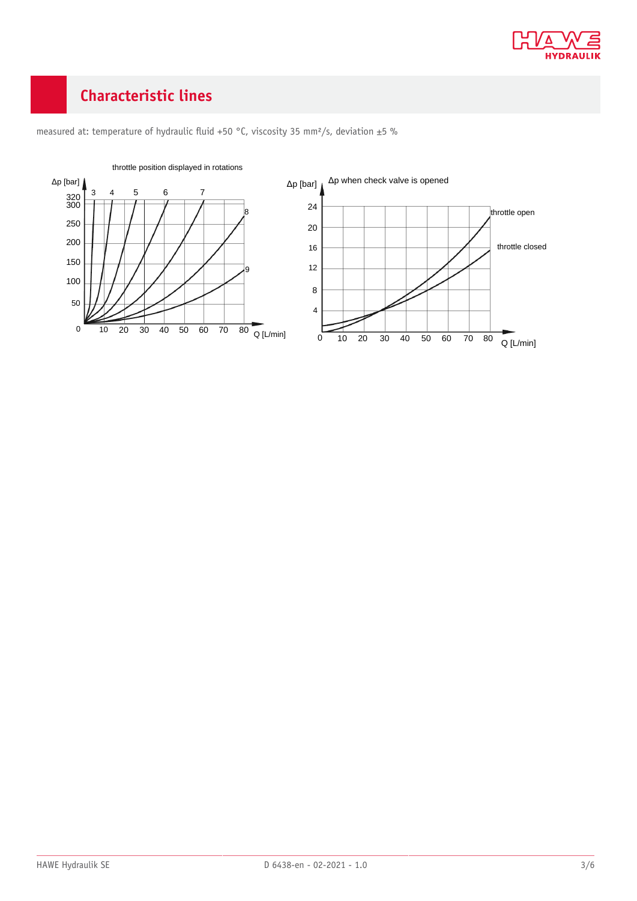

## <span id="page-2-0"></span>**Characteristic lines**



measured at: temperature of hydraulic fluid +50 °C, viscosity 35 mm<sup>2</sup>/s, deviation ±5 %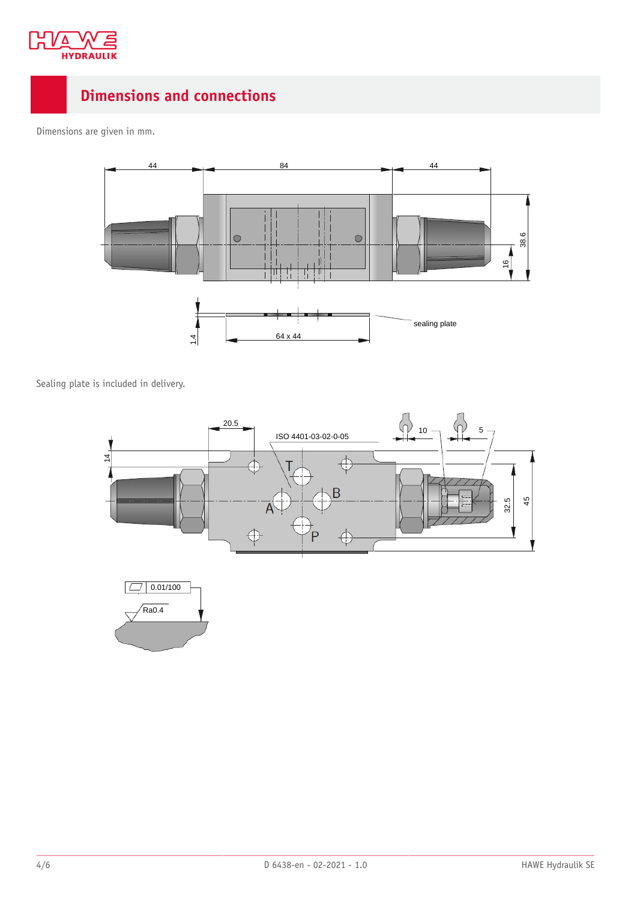

### <span id="page-3-0"></span>**Dimensions and connections**

Dimensions are given in mm.



Sealing plate is included in delivery.

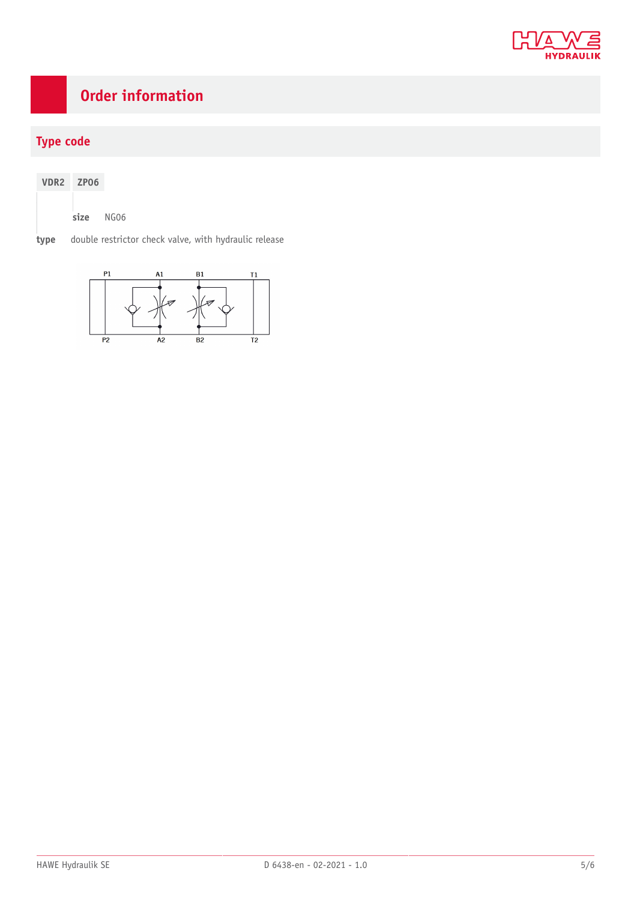

## <span id="page-4-0"></span>**Order information**

### **Type code**

| VDR <sub>2</sub> | ZP <sub>06</sub> |      |        |
|------------------|------------------|------|--------|
|                  | size             | NGO6 |        |
|                  | . .<br>. .       |      | $\sim$ |

**type** double restrictor check valve, with hydraulic release